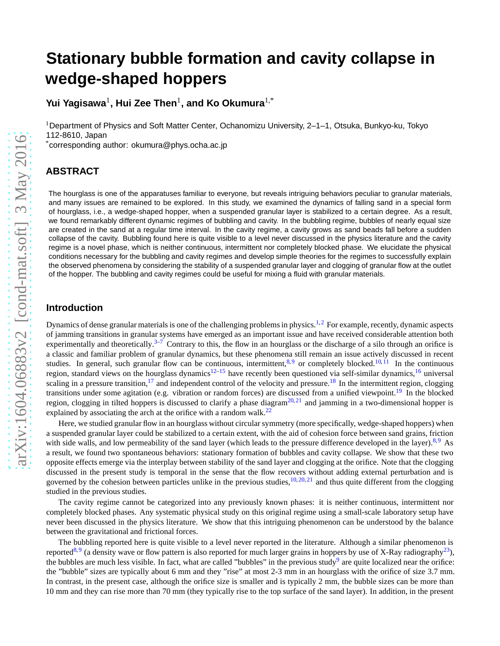# **Stationary bubble formation and cavity collapse in wedge-shaped hoppers**

Yui Yagisawa<sup>1</sup>, Hui Zee Then<sup>1</sup>, and Ko Okumura<sup>1,\*</sup>

<sup>1</sup>Department of Physics and Soft Matter Center, Ochanomizu University, 2–1–1, Otsuka, Bunkyo-ku, Tokyo 112-8610, Japan

\*corresponding author: okumura@phys.ocha.ac.jp

# **ABSTRACT**

The hourglass is one of the apparatuses familiar to everyone, but reveals intriguing behaviors peculiar to granular materials, and many issues are remained to be explored. In this study, we examined the dynamics of falling sand in a special form of hourglass, i.e., a wedge-shaped hopper, when a suspended granular layer is stabilized to a certain degree. As a result, we found remarkably different dynamic regimes of bubbling and cavity. In the bubbling regime, bubbles of nearly equal size are created in the sand at a regular time interval. In the cavity regime, a cavity grows as sand beads fall before a sudden collapse of the cavity. Bubbling found here is quite visible to a level never discussed in the physics literature and the cavity regime is a novel phase, which is neither continuous, intermittent nor completely blocked phase. We elucidate the physical conditions necessary for the bubbling and cavity regimes and develop simple theories for the regimes to successfully explain the observed phenomena by considering the stability of a suspended granular layer and clogging of granular flow at the outlet of the hopper. The bubbling and cavity regimes could be useful for mixing a fluid with granular materials.

#### **Introduction**

Dynamics of dense granular materials is one of the challenging problems in physics.<sup>[1,](#page-9-0)[2](#page-9-1)</sup> For example, recently, dynamic aspects of jamming transitions in granular systems have emerged as an important issue and have received considerable attention both experimentally and theoretically.<sup>[3](#page-9-2)[–7](#page-9-3)</sup> Contrary to this, the flow in an hourglass or the discharge of a silo through an orifice is a classic and familiar problem of granular dynamics, but these phenomena still remain an issue actively discussed in recent studies. In general, such granular flow can be continuous, intermittent,  $8.9$  $8.9$  or completely blocked.<sup>[10,](#page-9-6)[11](#page-9-7)</sup> In the continuous region, standard views on the hourglass dynamics<sup>[12–](#page-9-8)[15](#page-9-9)</sup> have recently been questioned via self-similar dynamics,<sup>[16](#page-9-10)</sup> universal scaling in a pressure transition,  $17$  and independent control of the velocity and pressure.<sup>[18](#page-9-12)</sup> In the intermittent region, clogging transitions under some agitation (e.g. vibration or random forces) are discussed from a unified viewpoint.<sup>[19](#page-10-0)</sup> In the blocked region, clogging in tilted hoppers is discussed to clarify a phase diagram<sup>[20,](#page-10-1)[21](#page-10-2)</sup> and jamming in a two-dimensional hopper is explained by associating the arch at the orifice with a random walk. $^{22}$  $^{22}$  $^{22}$ 

Here, we studied granular flow in an hourglass without circular symmetry (more specifically, wedge-shaped hoppers) when a suspended granular layer could be stabilized to a certain extent, with the aid of cohesion force between sand grains, friction with side walls, and low permeability of the sand layer (which leads to the pressure difference developed in the layer).<sup>[8,](#page-9-4)[9](#page-9-5)</sup> As a result, we found two spontaneous behaviors: stationary formation of bubbles and cavity collapse. We show that these two opposite effects emerge via the interplay between stability of the sand layer and clogging at the orifice. Note that the clogging discussed in the present study is temporal in the sense that the flow recovers without adding external perturbation and is governed by the cohesion between particles unlike in the previous studies,  $10,20,21$  $10,20,21$  $10,20,21$  and thus quite different from the clogging studied in the previous studies.

The cavity regime cannot be categorized into any previously known phases: it is neither continuous, intermittent nor completely blocked phases. Any systematic physical study on this original regime using a small-scale laboratory setup have never been discussed in the physics literature. We show that this intriguing phenomenon can be understood by the balance between the gravitational and frictional forces.

The bubbling reported here is quite visible to a level never reported in the literature. Although a similar phenomenon is reported<sup>[8,](#page-9-4)[9](#page-9-5)</sup> (a density wave or flow pattern is also reported for much larger grains in hoppers by use of X-Ray radiography<sup>[23](#page-10-4)</sup>), the bubbles are much less visible. In fact, what are called "bubbles" in the previous study<sup>[9](#page-9-5)</sup> are quite localized near the orifice: the "bubble" sizes are typically about 6 mm and they "rise" at most 2-3 mm in an hourglass with the orifice of size 3.7 mm. In contrast, in the present case, although the orifice size is smaller and is typically 2 mm, the bubble sizes can be more than 10 mm and they can rise more than 70 mm (they typically rise to the top surface of the sand layer). In addition, in the present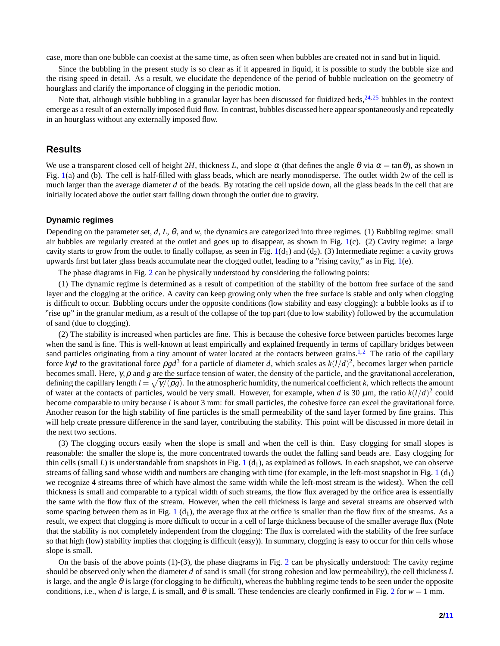case, more than one bubble can coexist at the same time, as often seen when bubbles are created not in sand but in liquid.

Since the bubbling in the present study is so clear as if it appeared in liquid, it is possible to study the bubble size and the rising speed in detail. As a result, we elucidate the dependence of the period of bubble nucleation on the geometry of hourglass and clarify the importance of clogging in the periodic motion.

Note that, although visible bubbling in a granular layer has been discussed for fluidized beds,  $24.25$  $24.25$  bubbles in the context emerge as a result of an externally imposed fluid flow. In contrast, bubbles discussed here appear spontaneously and repeatedly in an hourglass without any externally imposed flow.

### **Results**

We use a transparent closed cell of height 2*H*, thickness *L*, and slope  $\alpha$  (that defines the angle  $\theta$  via  $\alpha = \tan \theta$ ), as shown in Fig. [1\(](#page-2-0)a) and (b). The cell is half-filled with glass beads, which are nearly monodisperse. The outlet width 2*w* of the cell is much larger than the average diameter *d* of the beads. By rotating the cell upside down, all the glass beads in the cell that are initially located above the outlet start falling down through the outlet due to gravity.

#### **Dynamic regimes**

Depending on the parameter set, *d*, *L*, θ, and *w*, the dynamics are categorized into three regimes. (1) Bubbling regime: small air bubbles are regularly created at the outlet and goes up to disappear, as shown in Fig. [1\(](#page-2-0)c). (2) Cavity regime: a large cavity starts to grow from the outlet to finally collapse, as seen in Fig.  $1(d_1)$  $1(d_1)$  and  $(d_2)$ . (3) Intermediate regime: a cavity grows upwards first but later glass beads accumulate near the clogged outlet, leading to a "rising cavity," as in Fig. [1\(](#page-2-0)e).

The phase diagrams in Fig. [2](#page-3-0) can be physically understood by considering the following points:

(1) The dynamic regime is determined as a result of competition of the stability of the bottom free surface of the sand layer and the clogging at the orifice. A cavity can keep growing only when the free surface is stable and only when clogging is difficult to occur. Bubbling occurs under the opposite conditions (low stability and easy clogging): a bubble looks as if to "rise up" in the granular medium, as a result of the collapse of the top part (due to low stability) followed by the accumulation of sand (due to clogging).

(2) The stability is increased when particles are fine. This is because the cohesive force between particles becomes large when the sand is fine. This is well-known at least empirically and explained frequently in terms of capillary bridges between sand particles originating from a tiny amount of water located at the contacts between grains.<sup>[1,](#page-9-0)[2](#page-9-1)</sup> The ratio of the capillary force  $k\gamma d$  to the gravitational force  $\rho g d^3$  for a particle of diameter *d*, which scales as  $k(l/d)^2$ , becomes larger when particle becomes small. Here, γ,ρ and *g* are the surface tension of water, the density of the particle, and the gravitational acceleration, defining the capillary length  $l = \sqrt{\gamma/(\rho g)}$ . In the atmospheric humidity, the numerical coefficient *k*, which reflects the amount of water at the contacts of particles, would be very small. However, for example, when *d* is 30  $\mu$ m, the ratio  $k(l/d)^2$  could become comparable to unity because *l* is about 3 mm: for small particles, the cohesive force can excel the gravitational force. Another reason for the high stability of fine particles is the small permeability of the sand layer formed by fine grains. This will help create pressure difference in the sand layer, contributing the stability. This point will be discussed in more detail in the next two sections.

(3) The clogging occurs easily when the slope is small and when the cell is thin. Easy clogging for small slopes is reasonable: the smaller the slope is, the more concentrated towards the outlet the falling sand beads are. Easy clogging for thin cells (small L) is understandable from snapshots in Fig.  $1(d_1)$  $1(d_1)$ , as explained as follows. In each snapshot, we can observe streams of falling sand whose width and numbers are changing with time (for example, in the left-most snapshot in Fig. [1](#page-2-0)  $(d_1)$ ) we recognize 4 streams three of which have almost the same width while the left-most stream is the widest). When the cell thickness is small and comparable to a typical width of such streams, the flow flux averaged by the orifice area is essentially the same with the flow flux of the stream. However, when the cell thickness is large and several streams are observed with some spacing between them as in Fig.  $1(d_1)$  $1(d_1)$ , the average flux at the orifice is smaller than the flow flux of the streams. As a result, we expect that clogging is more difficult to occur in a cell of large thickness because of the smaller average flux (Note that the stability is not completely independent from the clogging: The flux is correlated with the stability of the free surface so that high (low) stability implies that clogging is difficult (easy)). In summary, clogging is easy to occur for thin cells whose slope is small.

On the basis of the above points  $(1)-(3)$ , the phase diagrams in Fig. [2](#page-3-0) can be physically understood: The cavity regime should be observed only when the diameter *d* of sand is small (for strong cohesion and low permeability), the cell thickness *L* is large, and the angle  $\theta$  is large (for clogging to be difficult), whereas the bubbling regime tends to be seen under the opposite conditions, i.e., when *d* is large, *L* is small, and  $\theta$  is small. These tendencies are clearly confirmed in Fig. [2](#page-3-0) for  $w = 1$  mm.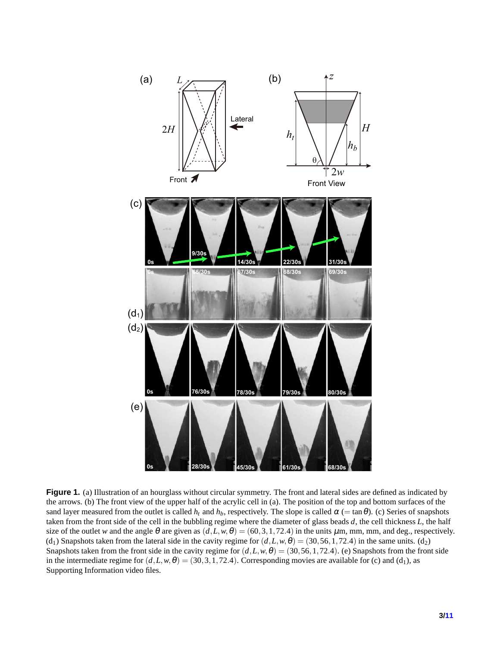<span id="page-2-0"></span>

**Figure 1.** (a) Illustration of an hourglass without circular symmetry. The front and lateral sides are defined as indicated by the arrows. (b) The front view of the upper half of the acrylic cell in (a). The position of the top and bottom surfaces of the sand layer measured from the outlet is called  $h_t$  and  $h_b$ , respectively. The slope is called  $\alpha$  (= tan $\theta$ ). (c) Series of snapshots taken from the front side of the cell in the bubbling regime where the diameter of glass beads *d*, the cell thickness *L*, the half size of the outlet *w* and the angle  $\theta$  are given as  $(d, L, w, \theta) = (60, 3, 1, 72.4)$  in the units  $\mu$ m, mm, mm, and deg., respectively. (d<sub>1</sub>) Snapshots taken from the lateral side in the cavity regime for  $(d, L, w, \theta) = (30, 56, 1, 72.4)$  in the same units. (d<sub>2</sub>) Snapshots taken from the front side in the cavity regime for  $(d, L, w, \theta) = (30, 56, 1, 72.4)$ . (e) Snapshots from the front side in the intermediate regime for  $(d, L, w, \theta) = (30, 3, 1, 72.4)$ . Corresponding movies are available for (c) and (d<sub>1</sub>), as Supporting Information video files.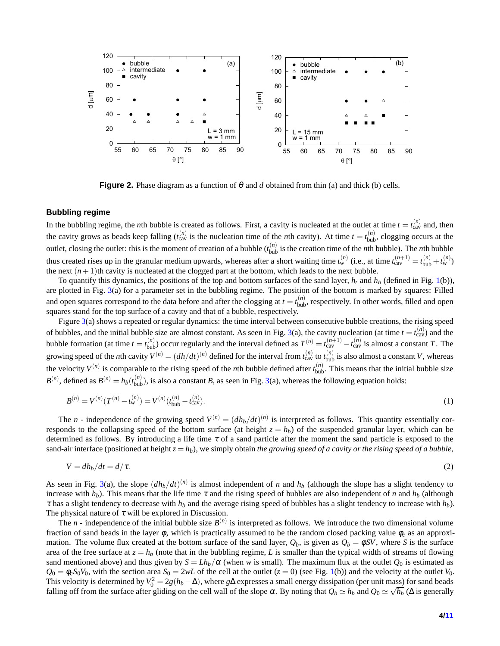<span id="page-3-0"></span>

**Figure 2.** Phase diagram as a function of  $\theta$  and *d* obtained from thin (a) and thick (b) cells.

#### **Bubbling regime**

In the bubbling regime, the *n*th bubble is created as follows. First, a cavity is nucleated at the outlet at time  $t = t_{\text{cav}}^{(n)}$  and, then the cavity grows as beads keep falling  $(t_{\text{cav}}^{(n)}$  is the nucleation time of the *n*th cavity). At time  $t = t_{\text{bub}}^{(n)}$ , clogging occurs at the outlet, closing the outlet: this is the moment of creation of a bubble  $(t_{\text{bub}}^{(n)}$  is the creation time of the *n*th bubble). The *n*th bubble thus created rises up in the granular medium upwards, whereas after a short waiting time  $t_w^{(n)}$  (i.e., at time  $t_{\text{cav}}^{(n+1)} = t_{\text{bub}}^{(n)} + t_w^{(n)}$ ) the next  $(n+1)$ th cavity is nucleated at the clogged part at the bottom, which leads to the next bubble.

To quantify this dynamics, the positions of the top and bottom surfaces of the sand layer,  $h_t$  and  $h_b$  (defined in Fig. [1\(](#page-2-0)b)), are plotted in Fig. [3\(](#page-4-0)a) for a parameter set in the bubbling regime. The position of the bottom is marked by squares: Filled and open squares correspond to the data before and after the clogging at  $t = t_{\text{bub}}^{(n)}$ , respectively. In other words, filled and open squares stand for the top surface of a cavity and that of a bubble, respectively.

Figure  $3(a)$  $3(a)$  shows a repeated or regular dynamics: the time interval between consecutive bubble creations, the rising speed of bubbles, and the initial bubble size are almost constant. As seen in Fig. [3\(](#page-4-0)a), the cavity nucleation (at time  $t = t_{\text{cav}}^{(n)}$ ) and the bubble formation (at time  $t = t_{\text{bub}}^{(n)}$ ) occur regularly and the interval defined as  $T^{(n)} = t_{\text{cav}}^{(n+1)} - t_{\text{cav}}^{(n)}$  is almost a constant *T*. The growing speed of the *n*th cavity  $V^{(n)} = (dh/dt)^{(n)}$  defined for the interval from  $t_{\text{cav}}^{(n)}$  to  $t_{\text{bub}}^{(n)}$  is also almost a constant *V*, whereas the velocity  $V^{(n)}$  is comparable to the rising speed of the *n*th bubble defined after  $t_{\text{bub}}^{(n)}$ . This means that the initial bubble size  $B^{(n)}$ , defined as  $B^{(n)} = h_b(t_{\text{bub}}^{(n)})$ , is also a constant *B*, as seen in Fig. [3\(](#page-4-0)a), whereas the following equation holds:

<span id="page-3-2"></span>
$$
B^{(n)} = V^{(n)}(T^{(n)} - t_w^{(n)}) = V^{(n)}(t_{\text{bub}}^{(n)} - t_{\text{cav}}^{(n)}).
$$
\n(1)

The *n* - independence of the growing speed  $V^{(n)} = (dh_b/dt)^{(n)}$  is interpreted as follows. This quantity essentially corresponds to the collapsing speed of the bottom surface (at height  $z = h_b$ ) of the suspended granular layer, which can be determined as follows. By introducing a life time  $\tau$  of a sand particle after the moment the sand particle is exposed to the sand-air interface (positioned at height  $z = h_b$ ), we simply obtain *the growing speed of a cavity or the rising speed of a bubble*,

<span id="page-3-1"></span>
$$
V = dh_b/dt = d/\tau. \tag{2}
$$

As seen in Fig. [3\(](#page-4-0)a), the slope  $(dh_b/dt)^{(n)}$  is almost independent of *n* and  $h_b$  (although the slope has a slight tendency to increase with  $h_b$ ). This means that the life time  $\tau$  and the rising speed of bubbles are also independent of *n* and  $h_b$  (although  $\tau$  has a slight tendency to decrease with  $h_b$  and the average rising speed of bubbles has a slight tendency to increase with  $h_b$ ). The physical nature of  $\tau$  will be explored in Discussion.

The *n* - independence of the initial bubble size  $B^{(n)}$  is interpreted as follows. We introduce the two dimensional volume fraction of sand beads in the layer  $\phi$ , which is practically assumed to be the random closed packing value  $\phi_c$  as an approximation. The volume flux created at the bottom surface of the sand layer,  $Q_b$ , is given as  $Q_b = \phi SV$ , where *S* is the surface area of the free surface at  $z = h_b$  (note that in the bubbling regime, L is smaller than the typical width of streams of flowing sand mentioned above) and thus given by  $S = Lh_b/\alpha$  (when w is small). The maximum flux at the outlet  $Q_0$  is estimated as  $Q_0 = \phi_c S_0 V_0$ , with the section area  $S_0 = 2wL$  of the cell at the outlet  $(z = 0)$  (see Fig. [1\(](#page-2-0)b)) and the velocity at the outlet  $V_0$ . This velocity is determined by  $V_0^2 = 2g(h_b - \Delta)$ , where *g*∆ expresses a small energy dissipation (per unit mass) for sand beads falling off from the surface after gliding on the cell wall of the slope  $\alpha$ . By noting that  $Q_b \simeq h_b$  and  $Q_0 \simeq \sqrt{h_b}$  ( $\Delta$  is generally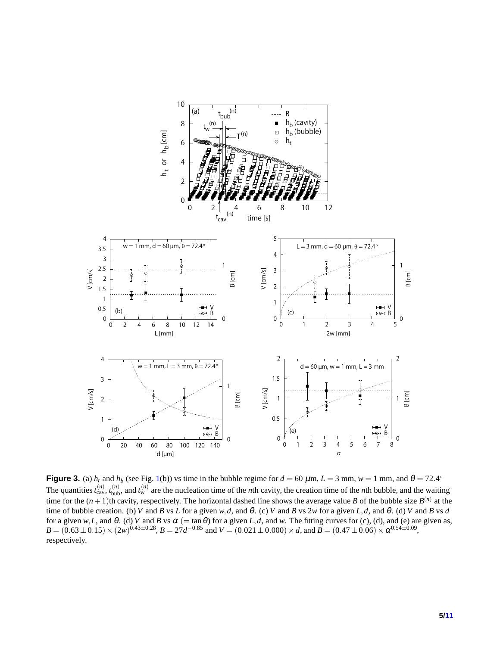<span id="page-4-0"></span>

**Figure 3.** (a)  $h_t$  and  $h_b$  (see Fig. [1\(](#page-2-0)b)) vs time in the bubble regime for  $d = 60 \mu$ m,  $L = 3 \text{ mm}$ ,  $w = 1 \text{ mm}$ , and  $\theta = 72.4^{\circ}$ The quantities  $t_{\text{cav}}^{(n)}$ ,  $t_{\text{bub}}^{(n)}$ , and  $t_w^{(n)}$  are the nucleation time of the *n*th cavity, the creation time of the *n*th bubble, and the waiting time for the  $(n+1)$ th cavity, respectively. The horizontal dashed line shows the average value *B* of the bubble size  $B^{(n)}$  at the time of bubble creation. (b) *V* and *B* vs *L* for a given *w*,*d*, and  $\theta$ . (c) *V* and *B* vs 2*w* for a given *L*,*d*, and  $\theta$ . (d) *V* and *B* vs *d* for a given  $w, L$ , and  $\theta$ . (d) V and B vs  $\alpha$  (= tan  $\theta$ ) for a given L, d, and w. The fitting curves for (c), (d), and (e) are given as,  $B = (0.63 \pm 0.15) \times (2w)^{0.43 \pm 0.28}$ ,  $B = 27d^{-0.85}$  and  $V = (0.021 \pm 0.000) \times d$ , and  $B = (0.47 \pm 0.06) \times \alpha^{0.54 \pm 0.09}$ , respectively.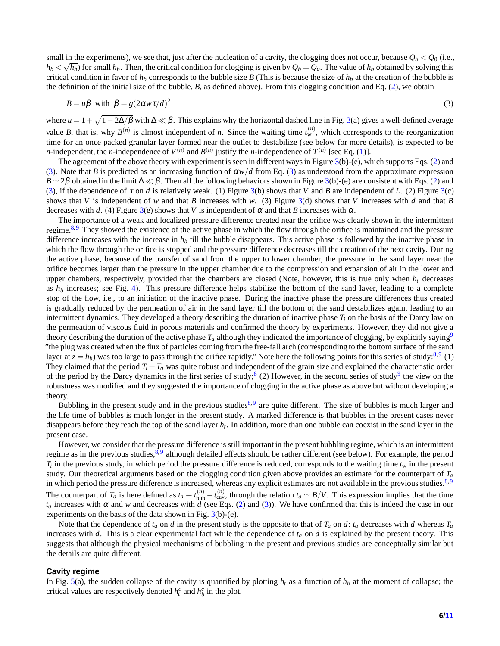small in the experiments), we see that, just after the nucleation of a cavity, the clogging does not occur, because  $Q_b < Q_0$  (i.e.,  $h_b < \sqrt{h_b}$ ) for small  $h_b$ . Then, the critical condition for clogging is given by  $Q_b = Q_o$ . The value of  $h_b$  obtained by solving this critical condition in favor of  $h_b$  corresponds to the bubble size *B* (This is because the size of  $h_b$  at the creation of the bubble is the definition of the initial size of the bubble, *B*, as defined above). From this clogging condition and Eq. [\(2\)](#page-3-1), we obtain

<span id="page-5-0"></span>
$$
B = u\beta \quad \text{with} \quad \beta = g(2\alpha w\tau/d)^2 \tag{3}
$$

where  $u = 1 + \sqrt{1 - 2\Delta/\beta}$  with  $\Delta \ll \beta$ . This explains why the horizontal dashed line in Fig. [3\(](#page-4-0)a) gives a well-defined average value *B*, that is, why  $B^{(n)}$  is almost independent of *n*. Since the waiting time  $t_w^{(n)}$ , which corresponds to the reorganization time for an once packed granular layer formed near the outlet to destabilize (see below for more details), is expected to be *n*-independent, the *n*-independence of  $V^{(n)}$  and  $B^{(n)}$  justify the *n*-independence of  $T^{(n)}$  [see Eq. [\(1\)](#page-3-2)].

The agreement of the above theory with experiment is seen in different ways in Figure [3\(](#page-4-0)b)-(e), which supports Eqs. [\(2\)](#page-3-1) and [\(3\)](#page-5-0). Note that *B* is predicted as an increasing function of  $\alpha w/d$  from Eq. [\(3\)](#page-5-0) as understood from the approximate expression  $B \simeq 2\beta$  obtained in the limit  $\Delta \ll \beta$ . Then all the following behaviors shown in Figure [3\(](#page-4-0)b)-(e) are consistent with Eqs. [\(2\)](#page-3-1) and [\(3\)](#page-5-0), if the dependence of  $\tau$  on *d* is relatively weak. (1) Figure [3\(](#page-4-0)b) shows that *V* and *B* are independent of *L*. (2) Figure 3(c) shows that *V* is independent of *w* and that *B* increases with *w*. (3) Figure [3\(](#page-4-0)d) shows that *V* increases with *d* and that *B* decreases with *d*. (4) Figure [3\(](#page-4-0)e) shows that *V* is independent of  $\alpha$  and that *B* increases with  $\alpha$ .

The importance of a weak and localized pressure difference created near the orifice was clearly shown in the intermittent regime.<sup>[8,](#page-9-4)[9](#page-9-5)</sup> They showed the existence of the active phase in which the flow through the orifice is maintained and the pressure difference increases with the increase in  $h<sub>b</sub>$  till the bubble disappears. This active phase is followed by the inactive phase in which the flow through the orifice is stopped and the pressure difference decreases till the creation of the next cavity. During the active phase, because of the transfer of sand from the upper to lower chamber, the pressure in the sand layer near the orifice becomes larger than the pressure in the upper chamber due to the compression and expansion of air in the lower and upper chambers, respectively, provided that the chambers are closed (Note, however, this is true only when  $h_t$  decreases as  $h_b$  increases; see Fig. [4\)](#page-6-0). This pressure difference helps stabilize the bottom of the sand layer, leading to a complete stop of the flow, i.e., to an initiation of the inactive phase. During the inactive phase the pressure differences thus created is gradually reduced by the permeation of air in the sand layer till the bottom of the sand destabilizes again, leading to an intermittent dynamics. They developed a theory describing the duration of inactive phase *T<sup>i</sup>* on the basis of the Darcy law on the permeation of viscous fluid in porous materials and confirmed the theory by experiments. However, they did not give a theory describing the duration of the active phase  $T_a$  although they indicated the importance of clogging, by explicitly saying<sup>[9](#page-9-5)</sup> "the plug was created when the flux of particles coming from the free-fall arch (corresponding to the bottom surface of the sand layer at  $z = h_b$ ) was too large to pass through the orifice rapidly." Note here the following points for this series of study:<sup>[8,](#page-9-4)[9](#page-9-5)</sup> (1) They claimed that the period  $T_i + T_a$  was quite robust and independent of the grain size and explained the characteristic order of the period by the Darcy dynamics in the first series of study;<sup>[8](#page-9-4)</sup> (2) However, in the second series of study<sup>[9](#page-9-5)</sup> the view on the robustness was modified and they suggested the importance of clogging in the active phase as above but without developing a theory.

Bubbling in the present study and in the previous studies<sup>[8,](#page-9-4)[9](#page-9-5)</sup> are quite different. The size of bubbles is much larger and the life time of bubbles is much longer in the present study. A marked difference is that bubbles in the present cases never disappears before they reach the top of the sand layer *h<sup>t</sup>* . In addition, more than one bubble can coexist in the sand layer in the present case.

However, we consider that the pressure difference is still important in the present bubbling regime, which is an intermittent regime as in the previous studies, <sup>[8,](#page-9-4)[9](#page-9-5)</sup> although detailed effects should be rather different (see below). For example, the period  $T_i$  in the previous study, in which period the pressure difference is reduced, corresponds to the waiting time  $t_w$  in the present study. Our theoretical arguments based on the clogging condition given above provides an estimate for the counterpart of *T<sup>a</sup>* in which period the pressure difference is increased, whereas any explicit estimates are not available in the previous studies.<sup>[8,](#page-9-4)[9](#page-9-5)</sup> The counterpart of  $T_a$  is here defined as  $t_a \equiv t_{\text{bub}}^{(n)} - t_{\text{cav}}^{(n)}$ , through the relation  $t_a \simeq B/V$ . This expression implies that the time  $t_a$  increases with  $\alpha$  and *w* and decreases with *d* (see Eqs. [\(2\)](#page-3-1) and [\(3\)](#page-5-0)). We have confirmed that this is indeed the case in our experiments on the basis of the data shown in Fig.  $3(b)-(e)$  $3(b)-(e)$ .

Note that the dependence of  $t_a$  on *d* in the present study is the opposite to that of  $T_a$  on *d*:  $t_a$  decreases with *d* whereas  $T_a$ increases with *d*. This is a clear experimental fact while the dependence of *t<sup>a</sup>* on *d* is explained by the present theory. This suggests that although the physical mechanisms of bubbling in the present and previous studies are conceptually similar but the details are quite different.

#### **Cavity regime**

In Fig. [5\(](#page-6-1)a), the sudden collapse of the cavity is quantified by plotting  $h_t$  as a function of  $h_b$  at the moment of collapse; the critical values are respectively denoted  $h_t^c$  and  $h_b^c$  in the plot.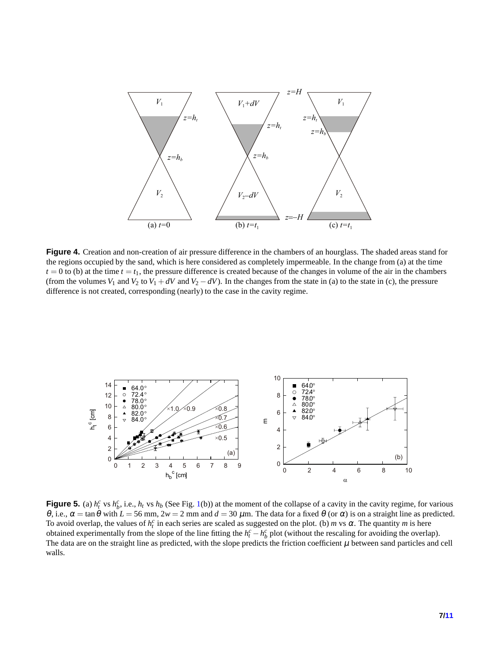<span id="page-6-0"></span>

**Figure 4.** Creation and non-creation of air pressure difference in the chambers of an hourglass. The shaded areas stand for the regions occupied by the sand, which is here considered as completely impermeable. In the change from (a) at the time  $t = 0$  to (b) at the time  $t = t_1$ , the pressure difference is created because of the changes in volume of the air in the chambers (from the volumes  $V_1$  and  $V_2$  to  $V_1 + dV$  and  $V_2 - dV$ ). In the changes from the state in (a) to the state in (c), the pressure difference is not created, corresponding (nearly) to the case in the cavity regime.

<span id="page-6-1"></span>

**Figure 5.** (a)  $h_t^c$  vs  $h_b^c$ , i.e.,  $h_t$  vs  $h_b$  (See Fig. [1\(](#page-2-0)b)) at the moment of the collapse of a cavity in the cavity regime, for various θ, i.e.,  $\alpha = \tan \theta$  with  $L = 56$  mm,  $2w = 2$  mm and  $d = 30$  μm. The data for a fixed θ (or  $\alpha$ ) is on a straight line as predicted. To avoid overlap, the values of  $h_t^c$  in each series are scaled as suggested on the plot. (b) *m* vs  $\alpha$ . The quantity *m* is here obtained experimentally from the slope of the line fitting the  $h_t^c - h_b^c$  plot (without the rescaling for avoiding the overlap). The data are on the straight line as predicted, with the slope predicts the friction coefficient  $\mu$  between sand particles and cell walls.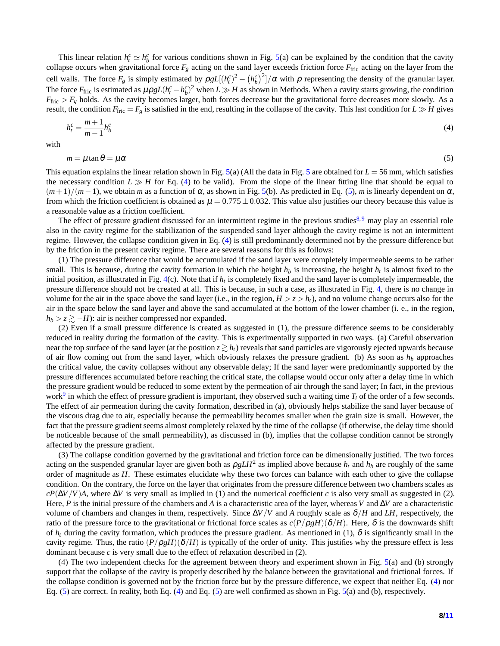This linear relation  $h_t^c \simeq h_b^c$  for various conditions shown in Fig. [5\(](#page-6-1)a) can be explained by the condition that the cavity collapse occurs when gravitational force  $F_g$  acting on the sand layer exceeds friction force  $F_{\text{fric}}$  acting on the layer from the cell walls. The force  $F_g$  is simply estimated by  $\rho g L[(h_t^c)^2 - (h_b^c)^2]/\alpha$  with  $\rho$  representing the density of the granular layer. The force  $F_{\text{fric}}$  is estimated as  $\mu \rho g L (h_t^c - h_b^c)^2$  when  $L \gg H$  as shown in Methods. When a cavity starts growing, the condition  $F_{\text{fric}} > F_g$  holds. As the cavity becomes larger, both forces decrease but the gravitational force decreases more slowly. As a result, the condition  $F_{\text{fric}} = F_g$  is satisfied in the end, resulting in the collapse of the cavity. This last condition for  $L \gg H$  gives

$$
h_t^c = \frac{m+1}{m-1} h_b^c \tag{4}
$$

with

<span id="page-7-1"></span><span id="page-7-0"></span>
$$
m = \mu \tan \theta = \mu \alpha \tag{5}
$$

This equation explains the linear relation shown in Fig. [5\(](#page-6-1)a) (All the data in Fig. [5](#page-6-1) are obtained for *L* = 56 mm, which satisfies the necessary condition  $L \gg H$  for Eq. [\(4\)](#page-7-0) to be valid). From the slope of the linear fitting line that should be equal to  $(m+1)/(m-1)$ , we obtain *m* as a function of  $\alpha$ , as shown in Fig. [5\(](#page-6-1)b). As predicted in Eq. [\(5\)](#page-7-1), *m* is linearly dependent on  $\alpha$ , from which the friction coefficient is obtained as  $\mu = 0.775 \pm 0.032$ . This value also justifies our theory because this value is a reasonable value as a friction coefficient.

The effect of pressure gradient discussed for an intermittent regime in the previous studies<sup>[8,](#page-9-4)[9](#page-9-5)</sup> may play an essential role also in the cavity regime for the stabilization of the suspended sand layer although the cavity regime is not an intermittent regime. However, the collapse condition given in Eq. [\(4\)](#page-7-0) is still predominantly determined not by the pressure difference but by the friction in the present cavity regime. There are several reasons for this as follows:

(1) The pressure difference that would be accumulated if the sand layer were completely impermeable seems to be rather small. This is because, during the cavity formation in which the height *h<sup>b</sup>* is increasing, the height *h<sup>t</sup>* is almost fixed to the initial position, as illustrated in Fig. [4\(](#page-6-0)c). Note that if *h<sup>t</sup>* is completely fixed and the sand layer is completely impermeable, the pressure difference should not be created at all. This is because, in such a case, as illustrated in Fig. [4,](#page-6-0) there is no change in volume for the air in the space above the sand layer (i.e., in the region,  $H > z > h_t$ ), and no volume change occurs also for the air in the space below the sand layer and above the sand accumulated at the bottom of the lower chamber (i. e., in the region,  $h_b$  >  $z \gtrsim -H$ ): air is neither compressed nor expanded.

(2) Even if a small pressure difference is created as suggested in (1), the pressure difference seems to be considerably reduced in reality during the formation of the cavity. This is experimentally supported in two ways. (a) Careful observation near the top surface of the sand layer (at the position  $z \ge h_t$ ) reveals that sand particles are vigorously ejected upwards because of air flow coming out from the sand layer, which obviously relaxes the pressure gradient. (b) As soon as *h<sup>b</sup>* approaches the critical value, the cavity collapses without any observable delay; If the sand layer were predominantly supported by the pressure differences accumulated before reaching the critical state, the collapse would occur only after a delay time in which the pressure gradient would be reduced to some extent by the permeation of air through the sand layer; In fact, in the previous work<sup>[9](#page-9-5)</sup> in which the effect of pressure gradient is important, they observed such a waiting time  $T_i$  of the order of a few seconds. The effect of air permeation during the cavity formation, described in (a), obviously helps stabilize the sand layer because of the viscous drag due to air, especially because the permeability becomes smaller when the grain size is small. However, the fact that the pressure gradient seems almost completely relaxed by the time of the collapse (if otherwise, the delay time should be noticeable because of the small permeability), as discussed in (b), implies that the collapse condition cannot be strongly affected by the pressure gradient.

(3) The collapse condition governed by the gravitational and friction force can be dimensionally justified. The two forces acting on the suspended granular layer are given both as  $\rho g L H^2$  as implied above because  $h_t$  and  $h_b$  are roughly of the same order of magnitude as *H*. These estimates elucidate why these two forces can balance with each other to give the collapse condition. On the contrary, the force on the layer that originates from the pressure difference between two chambers scales as  $cP(\Delta V/V)A$ , where  $\Delta V$  is very small as implied in (1) and the numerical coefficient *c* is also very small as suggested in (2). Here, *P* is the initial pressure of the chambers and *A* is a characteristic area of the layer, whereas *V* and ∆*V* are a characteristic volume of chambers and changes in them, respectively. Since  $\Delta V/V$  and A roughly scale as  $\delta/H$  and LH, respectively, the ratio of the pressure force to the gravitational or frictional force scales as *c*(*P*/ρ*gH*)(δ/*H*). Here, δ is the downwards shift of  $h_t$  during the cavity formation, which produces the pressure gradient. As mentioned in (1),  $\delta$  is significantly small in the cavity regime. Thus, the ratio  $(P/\rho g H)(\delta/H)$  is typically of the order of unity. This justifies why the pressure effect is less dominant because *c* is very small due to the effect of relaxation described in (2).

(4) The two independent checks for the agreement between theory and experiment shown in Fig. [5\(](#page-6-1)a) and (b) strongly support that the collapse of the cavity is properly described by the balance between the gravitational and frictional forces. If the collapse condition is governed not by the friction force but by the pressure difference, we expect that neither Eq. [\(4\)](#page-7-0) nor Eq. [\(5\)](#page-7-1) are correct. In reality, both Eq. [\(4\)](#page-7-0) and Eq. [\(5\)](#page-7-1) are well confirmed as shown in Fig. [5\(](#page-6-1)a) and (b), respectively.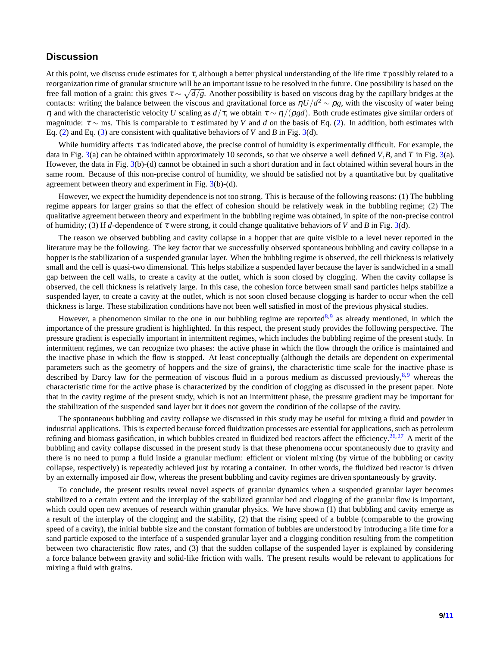#### **Discussion**

At this point, we discuss crude estimates for  $\tau$ , although a better physical understanding of the life time  $\tau$  possibly related to a reorganization time of granular structure will be an important issue to be resolved in the future. One possibility is based on the free fall motion of a grain: this gives  $\tau \sim \sqrt{d/g}$ . Another possibility is based on viscous drag by the capillary bridges at the contacts: writing the balance between the viscous and gravitational force as  $\eta U/d^2 \sim \rho g$ , with the viscosity of water being <sup>η</sup> and with the characteristic velocity *U* scaling as *d*/τ, we obtain <sup>τ</sup> ∼ <sup>η</sup>/(ρ*gd*). Both crude estimates give similar orders of magnitude:  $\tau \sim$  ms. This is comparable to  $\tau$  estimated by *V* and *d* on the basis of Eq. [\(2\)](#page-3-1). In addition, both estimates with Eq. [\(2\)](#page-3-1) and Eq. [\(3\)](#page-5-0) are consistent with qualitative behaviors of *V* and *B* in Fig. [3\(](#page-4-0)d).

While humidity affects  $\tau$  as indicated above, the precise control of humidity is experimentally difficult. For example, the data in Fig. [3\(](#page-4-0)a) can be obtained within approximately 10 seconds, so that we observe a well defined *V*,*B*, and *T* in Fig. [3\(](#page-4-0)a). However, the data in Fig. [3\(](#page-4-0)b)-(d) cannot be obtained in such a short duration and in fact obtained within several hours in the same room. Because of this non-precise control of humidity, we should be satisfied not by a quantitative but by qualitative agreement between theory and experiment in Fig. [3\(](#page-4-0)b)-(d).

However, we expect the humidity dependence is not too strong. This is because of the following reasons: (1) The bubbling regime appears for larger grains so that the effect of cohesion should be relatively weak in the bubbling regime; (2) The qualitative agreement between theory and experiment in the bubbling regime was obtained, in spite of the non-precise control of humidity; (3) If *d*-dependence of <sup>τ</sup> were strong, it could change qualitative behaviors of *V* and *B* in Fig. [3\(](#page-4-0)d).

The reason we observed bubbling and cavity collapse in a hopper that are quite visible to a level never reported in the literature may be the following. The key factor that we successfully observed spontaneous bubbling and cavity collapse in a hopper is the stabilization of a suspended granular layer. When the bubbling regime is observed, the cell thickness is relatively small and the cell is quasi-two dimensional. This helps stabilize a suspended layer because the layer is sandwiched in a small gap between the cell walls, to create a cavity at the outlet, which is soon closed by clogging. When the cavity collapse is observed, the cell thickness is relatively large. In this case, the cohesion force between small sand particles helps stabilize a suspended layer, to create a cavity at the outlet, which is not soon closed because clogging is harder to occur when the cell thickness is large. These stabilization conditions have not been well satisfied in most of the previous physical studies.

However, a phenomenon similar to the one in our bubbling regime are reported<sup>[8,](#page-9-4)[9](#page-9-5)</sup> as already mentioned, in which the importance of the pressure gradient is highlighted. In this respect, the present study provides the following perspective. The pressure gradient is especially important in intermittent regimes, which includes the bubbling regime of the present study. In intermittent regimes, we can recognize two phases: the active phase in which the flow through the orifice is maintained and the inactive phase in which the flow is stopped. At least conceptually (although the details are dependent on experimental parameters such as the geometry of hoppers and the size of grains), the characteristic time scale for the inactive phase is described by Darcy law for the permeation of viscous fluid in a porous medium as discussed previously,<sup>[8,](#page-9-4)[9](#page-9-5)</sup> whereas the characteristic time for the active phase is characterized by the condition of clogging as discussed in the present paper. Note that in the cavity regime of the present study, which is not an intermittent phase, the pressure gradient may be important for the stabilization of the suspended sand layer but it does not govern the condition of the collapse of the cavity.

The spontaneous bubbling and cavity collapse we discussed in this study may be useful for mixing a fluid and powder in industrial applications. This is expected because forced fluidization processes are essential for applications, such as petroleum refining and biomass gasification, in which bubbles created in fluidized bed reactors affect the efficiency.<sup>[26,](#page-10-8)[27](#page-10-9)</sup> A merit of the bubbling and cavity collapse discussed in the present study is that these phenomena occur spontaneously due to gravity and there is no need to pump a fluid inside a granular medium: efficient or violent mixing (by virtue of the bubbling or cavity collapse, respectively) is repeatedly achieved just by rotating a container. In other words, the fluidized bed reactor is driven by an externally imposed air flow, whereas the present bubbling and cavity regimes are driven spontaneously by gravity.

To conclude, the present results reveal novel aspects of granular dynamics when a suspended granular layer becomes stabilized to a certain extent and the interplay of the stabilized granular bed and clogging of the granular flow is important, which could open new avenues of research within granular physics. We have shown (1) that bubbling and cavity emerge as a result of the interplay of the clogging and the stability, (2) that the rising speed of a bubble (comparable to the growing speed of a cavity), the initial bubble size and the constant formation of bubbles are understood by introducing a life time for a sand particle exposed to the interface of a suspended granular layer and a clogging condition resulting from the competition between two characteristic flow rates, and (3) that the sudden collapse of the suspended layer is explained by considering a force balance between gravity and solid-like friction with walls. The present results would be relevant to applications for mixing a fluid with grains.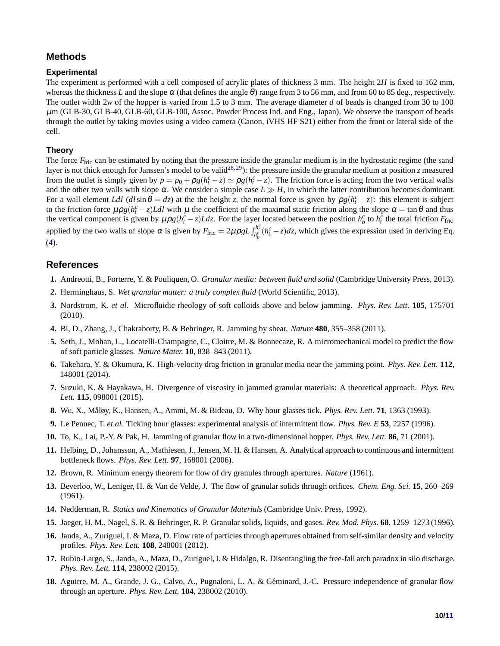## **Methods**

#### **Experimental**

The experiment is performed with a cell composed of acrylic plates of thickness 3 mm. The height 2*H* is fixed to 162 mm, whereas the thickness L and the slope  $\alpha$  (that defines the angle  $\theta$ ) range from 3 to 56 mm, and from 60 to 85 deg., respectively. The outlet width 2*w* of the hopper is varied from 1.5 to 3 mm. The average diameter *d* of beads is changed from 30 to 100 µm (GLB-30, GLB-40, GLB-60, GLB-100, Assoc. Powder Process Ind. and Eng., Japan). We observe the transport of beads through the outlet by taking movies using a video camera (Canon, iVHS HF S21) either from the front or lateral side of the cell.

#### **Theory**

The force *F*<sub>fric</sub> can be estimated by noting that the pressure inside the granular medium is in the hydrostatic regime (the sand layer is not thick enough for Janssen's model to be valid<sup>[28,](#page-10-10)[29](#page-10-11)</sup>): the pressure inside the granular medium at position *z* measured from the outlet is simply given by  $p = p_0 + \rho g(h_t^c - z) \simeq \rho g(h_t^c - z)$ . The friction force is acting from the two vertical walls and the other two walls with slope  $\alpha$ . We consider a simple case  $L \gg H$ , in which the latter contribution becomes dominant. For a wall element *Ldl*  $(d \sin \theta = dz)$  at the the height *z*, the normal force is given by  $\rho g(h_t^c - z)$ : this element is subject to the friction force  $\mu \rho g (h_t^c - z) L dl$  with  $\mu$  the coefficient of the maximal static friction along the slope  $\alpha = \tan \theta$  and thus the vertical component is given by  $\mu \rho g (h_t^c - z) L dz$ . For the layer located between the position  $h_b^c$  to  $h_t^c$  the total friction  $F_{\text{fric}}$ applied by the two walls of slope  $\alpha$  is given by  $F_{\text{fric}} = 2\mu \rho g L \int_{h_b^c}^{h_f^c} (h_t^c - z) dz$ , which gives the expression used in deriving Eq.  $(4).$  $(4).$ 

### <span id="page-9-0"></span>**References**

- <span id="page-9-1"></span>**1.** Andreotti, B., Forterre, Y. & Pouliquen, O. *Granular media: between fluid and solid* (Cambridge University Press, 2013).
- <span id="page-9-2"></span>**2.** Herminghaus, S. *Wet granular matter: a truly complex fluid* (World Scientific, 2013).
- **3.** Nordstrom, K. *et al.* Microfluidic rheology of soft colloids above and below jamming. *Phys. Rev. Lett.* **105**, 175701 (2010).
- **4.** Bi, D., Zhang, J., Chakraborty, B. & Behringer, R. Jamming by shear. *Nature* **480**, 355–358 (2011).
- **5.** Seth, J., Mohan, L., Locatelli-Champagne, C., Cloitre, M. & Bonnecaze, R. A micromechanical model to predict the flow of soft particle glasses. *Nature Mater.* **10**, 838–843 (2011).
- <span id="page-9-3"></span>**6.** Takehara, Y. & Okumura, K. High-velocity drag friction in granular media near the jamming point. *Phys. Rev. Lett.* **112**, 148001 (2014).
- <span id="page-9-4"></span>**7.** Suzuki, K. & Hayakawa, H. Divergence of viscosity in jammed granular materials: A theoretical approach. *Phys. Rev. Lett.* **115**, 098001 (2015).
- <span id="page-9-5"></span>**8.** Wu, X., M˚aløy, K., Hansen, A., Ammi, M. & Bideau, D. Why hour glasses tick. *Phys. Rev. Lett.* **71**, 1363 (1993).
- <span id="page-9-6"></span>**9.** Le Pennec, T. *et al.* Ticking hour glasses: experimental analysis of intermittent flow. *Phys. Rev. E* **53**, 2257 (1996).
- <span id="page-9-7"></span>**10.** To, K., Lai, P.-Y. & Pak, H. Jamming of granular flow in a two-dimensional hopper. *Phys. Rev. Lett.* **86**, 71 (2001).
- <span id="page-9-8"></span>**11.** Helbing, D., Johansson, A., Mathiesen, J., Jensen, M. H. & Hansen, A. Analytical approach to continuous and intermittent bottleneck flows. *Phys. Rev. Lett.* **97**, 168001 (2006).
- **12.** Brown, R. Minimum energy theorem for flow of dry granules through apertures. *Nature* (1961).
- **13.** Beverloo, W., Leniger, H. & Van de Velde, J. The flow of granular solids through orifices. *Chem. Eng. Sci.* **15**, 260–269 (1961).
- <span id="page-9-9"></span>**14.** Nedderman, R. *Statics and Kinematics of Granular Materials* (Cambridge Univ. Press, 1992).
- <span id="page-9-10"></span>**15.** Jaeger, H. M., Nagel, S. R. & Behringer, R. P. Granular solids, liquids, and gases. *Rev. Mod. Phys.* **68**, 1259–1273 (1996).
- <span id="page-9-11"></span>**16.** Janda, A., Zuriguel, I. & Maza, D. Flow rate of particles through apertures obtained from self-similar density and velocity profiles. *Phys. Rev. Lett.* **108**, 248001 (2012).
- <span id="page-9-12"></span>**17.** Rubio-Largo, S., Janda, A., Maza, D., Zuriguel, I. & Hidalgo, R. Disentangling the free-fall arch paradox in silo discharge. *Phys. Rev. Lett.* **114**, 238002 (2015).
- 18. Aguirre, M. A., Grande, J. G., Calvo, A., Pugnaloni, L. A. & Géminard, J.-C. Pressure independence of granular flow through an aperture. *Phys. Rev. Lett.* **104**, 238002 (2010).